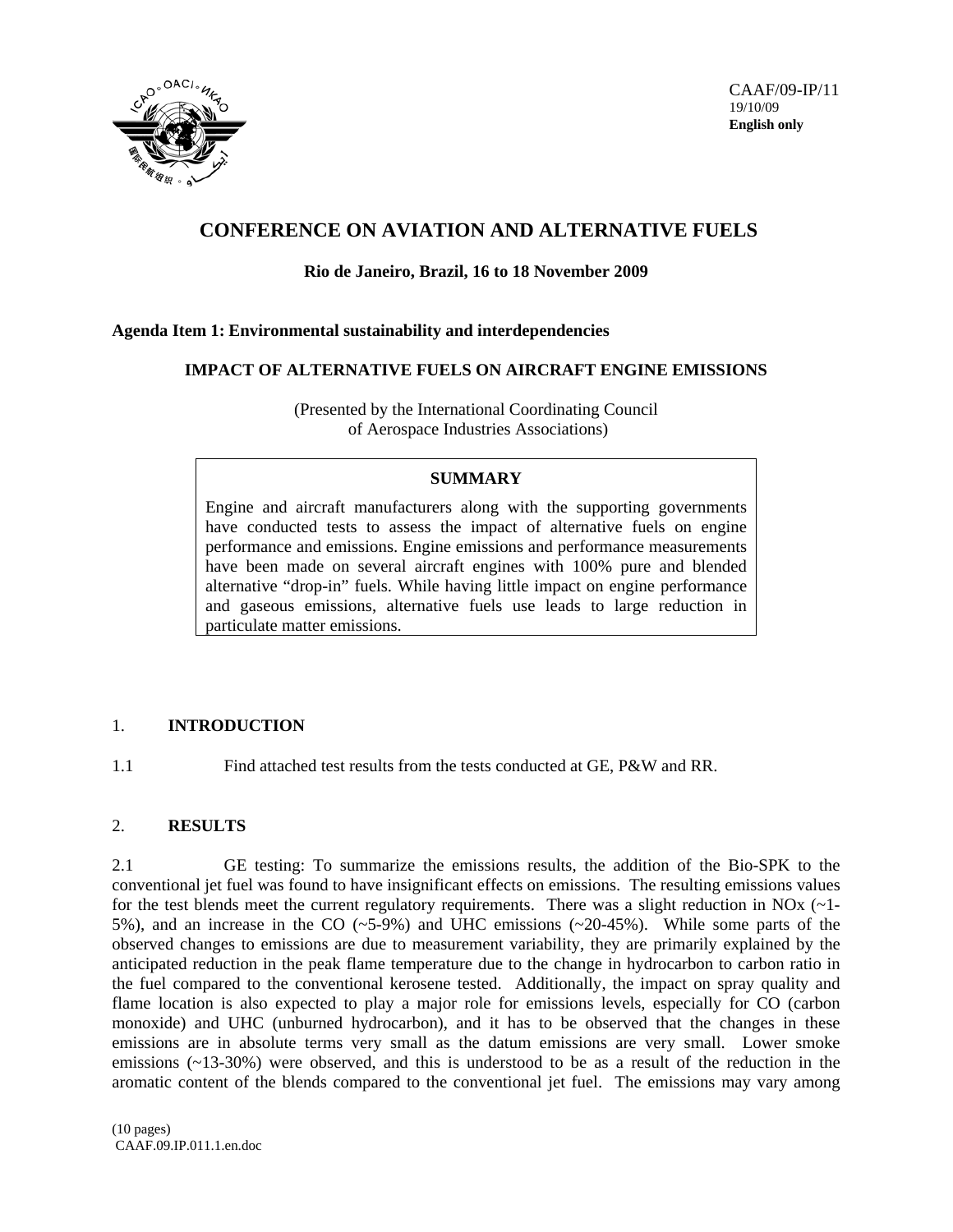

# **CONFERENCE ON AVIATION AND ALTERNATIVE FUELS**

## **Rio de Janeiro, Brazil, 16 to 18 November 2009**

### **Agenda Item 1: Environmental sustainability and interdependencies**

#### **IMPACT OF ALTERNATIVE FUELS ON AIRCRAFT ENGINE EMISSIONS**

(Presented by the International Coordinating Council of Aerospace Industries Associations)

## **SUMMARY**

Engine and aircraft manufacturers along with the supporting governments have conducted tests to assess the impact of alternative fuels on engine performance and emissions. Engine emissions and performance measurements have been made on several aircraft engines with 100% pure and blended alternative "drop-in" fuels. While having little impact on engine performance and gaseous emissions, alternative fuels use leads to large reduction in particulate matter emissions.

## 1. **INTRODUCTION**

1.1 Find attached test results from the tests conducted at GE, P&W and RR.

## 2. **RESULTS**

2.1 GE testing: To summarize the emissions results, the addition of the Bio-SPK to the conventional jet fuel was found to have insignificant effects on emissions. The resulting emissions values for the test blends meet the current regulatory requirements. There was a slight reduction in NOx (~1- 5%), and an increase in the CO (~5-9%) and UHC emissions (~20-45%). While some parts of the observed changes to emissions are due to measurement variability, they are primarily explained by the anticipated reduction in the peak flame temperature due to the change in hydrocarbon to carbon ratio in the fuel compared to the conventional kerosene tested. Additionally, the impact on spray quality and flame location is also expected to play a major role for emissions levels, especially for CO (carbon monoxide) and UHC (unburned hydrocarbon), and it has to be observed that the changes in these emissions are in absolute terms very small as the datum emissions are very small. Lower smoke emissions  $(\sim 13-30\%)$  were observed, and this is understood to be as a result of the reduction in the aromatic content of the blends compared to the conventional jet fuel. The emissions may vary among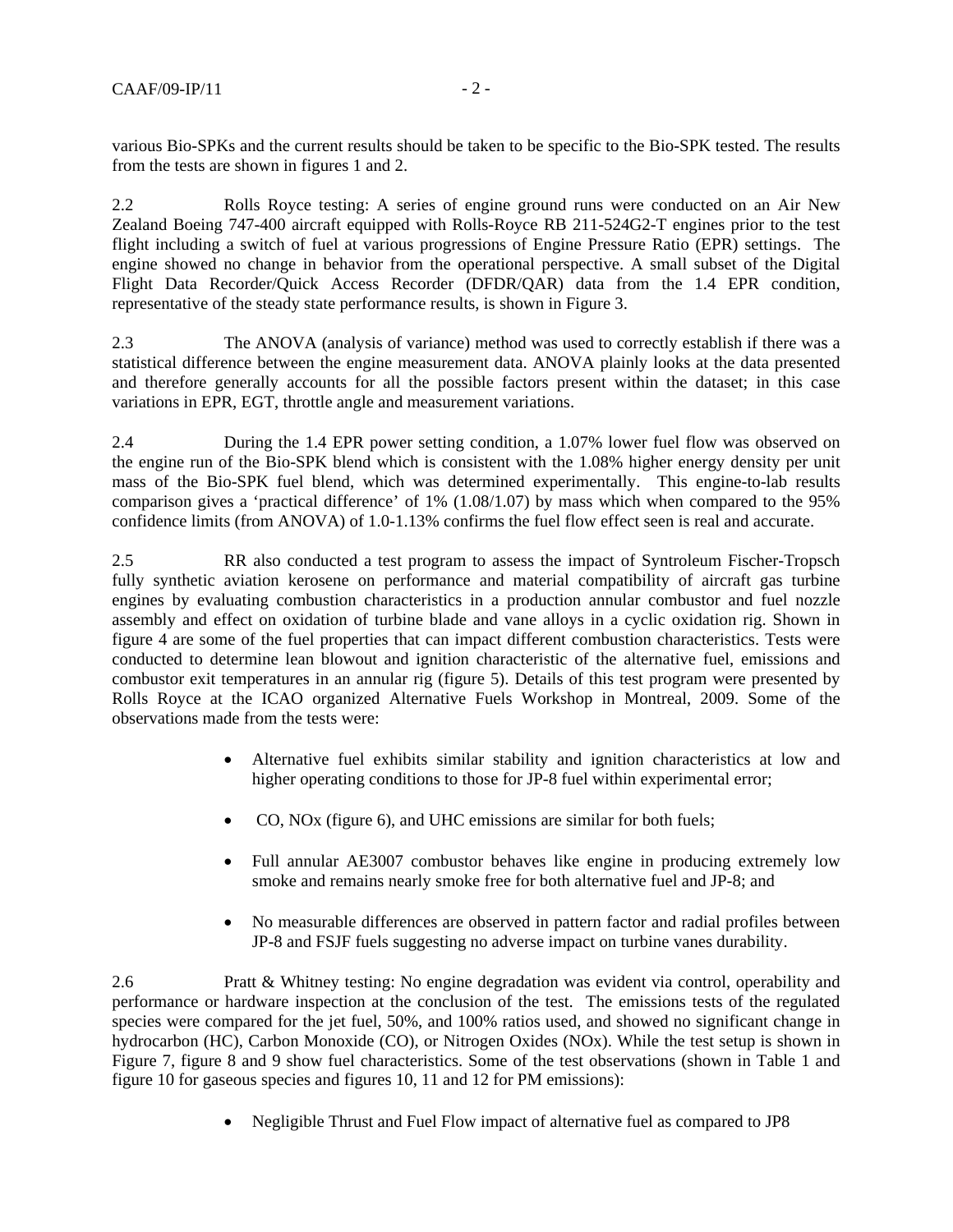various Bio-SPKs and the current results should be taken to be specific to the Bio-SPK tested. The results from the tests are shown in figures 1 and 2.

2.2 Rolls Royce testing: A series of engine ground runs were conducted on an Air New Zealand Boeing 747-400 aircraft equipped with Rolls-Royce RB 211-524G2-T engines prior to the test flight including a switch of fuel at various progressions of Engine Pressure Ratio (EPR) settings. The engine showed no change in behavior from the operational perspective. A small subset of the Digital Flight Data Recorder/Quick Access Recorder (DFDR/QAR) data from the 1.4 EPR condition, representative of the steady state performance results, is shown in Figure 3.

2.3 The ANOVA (analysis of variance) method was used to correctly establish if there was a statistical difference between the engine measurement data. ANOVA plainly looks at the data presented and therefore generally accounts for all the possible factors present within the dataset; in this case variations in EPR, EGT, throttle angle and measurement variations.

2.4 During the 1.4 EPR power setting condition, a 1.07% lower fuel flow was observed on the engine run of the Bio-SPK blend which is consistent with the 1.08% higher energy density per unit mass of the Bio-SPK fuel blend, which was determined experimentally. This engine-to-lab results comparison gives a 'practical difference' of 1% (1.08/1.07) by mass which when compared to the 95% confidence limits (from ANOVA) of 1.0-1.13% confirms the fuel flow effect seen is real and accurate.

2.5 RR also conducted a test program to assess the impact of Syntroleum Fischer-Tropsch fully synthetic aviation kerosene on performance and material compatibility of aircraft gas turbine engines by evaluating combustion characteristics in a production annular combustor and fuel nozzle assembly and effect on oxidation of turbine blade and vane alloys in a cyclic oxidation rig. Shown in figure 4 are some of the fuel properties that can impact different combustion characteristics. Tests were conducted to determine lean blowout and ignition characteristic of the alternative fuel, emissions and combustor exit temperatures in an annular rig (figure 5). Details of this test program were presented by Rolls Royce at the ICAO organized Alternative Fuels Workshop in Montreal, 2009. Some of the observations made from the tests were:

- Alternative fuel exhibits similar stability and ignition characteristics at low and higher operating conditions to those for JP-8 fuel within experimental error;
- CO, NOx (figure 6), and UHC emissions are similar for both fuels;
- Full annular AE3007 combustor behaves like engine in producing extremely low smoke and remains nearly smoke free for both alternative fuel and JP-8; and
- No measurable differences are observed in pattern factor and radial profiles between JP-8 and FSJF fuels suggesting no adverse impact on turbine vanes durability.

2.6 Pratt & Whitney testing: No engine degradation was evident via control, operability and performance or hardware inspection at the conclusion of the test. The emissions tests of the regulated species were compared for the jet fuel, 50%, and 100% ratios used, and showed no significant change in hydrocarbon (HC), Carbon Monoxide (CO), or Nitrogen Oxides (NOx). While the test setup is shown in Figure 7, figure 8 and 9 show fuel characteristics. Some of the test observations (shown in Table 1 and figure 10 for gaseous species and figures 10, 11 and 12 for PM emissions):

• Negligible Thrust and Fuel Flow impact of alternative fuel as compared to JP8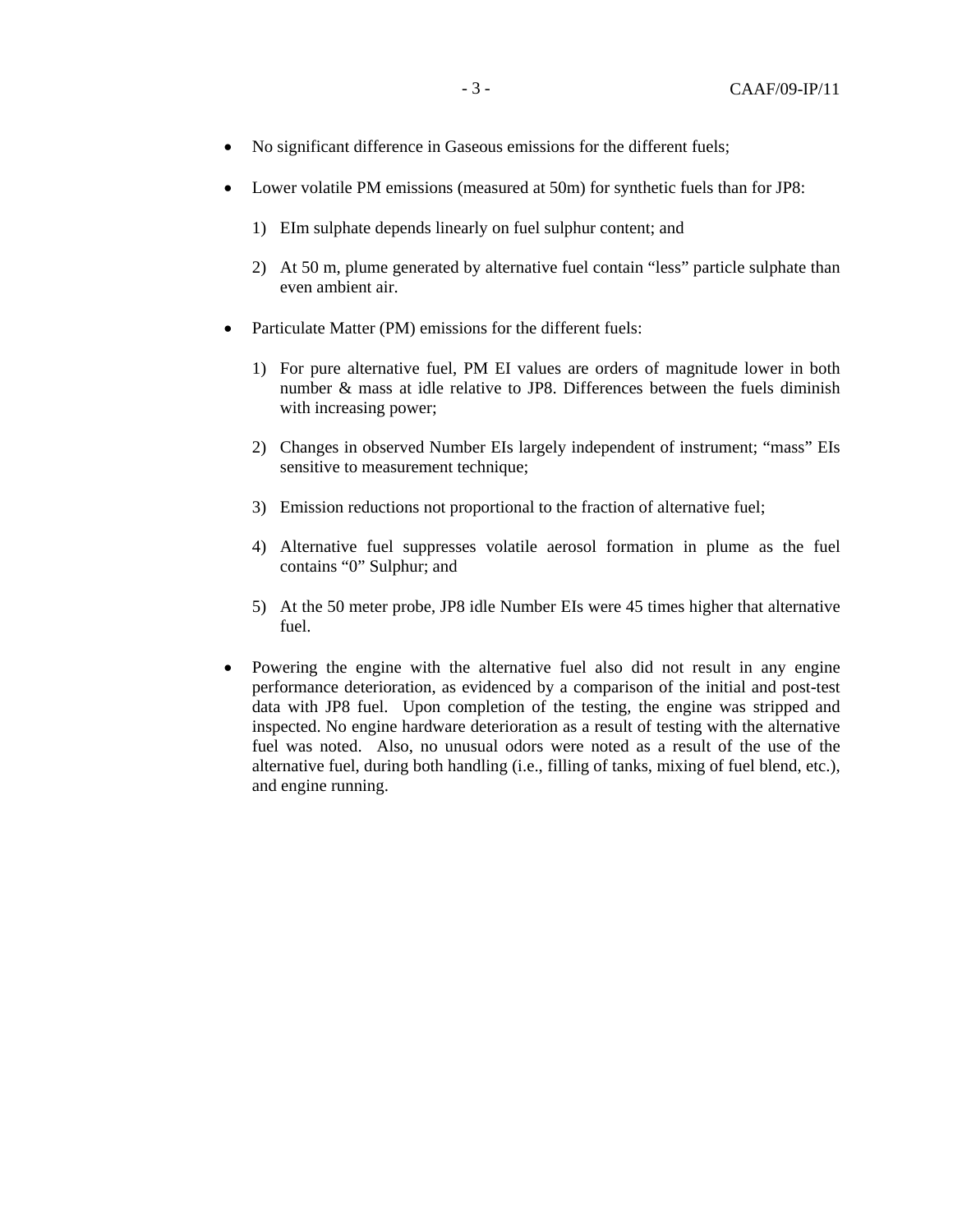- No significant difference in Gaseous emissions for the different fuels;
- Lower volatile PM emissions (measured at 50m) for synthetic fuels than for JP8:
	- 1) EIm sulphate depends linearly on fuel sulphur content; and
	- 2) At 50 m, plume generated by alternative fuel contain "less" particle sulphate than even ambient air.
- Particulate Matter (PM) emissions for the different fuels:
	- 1) For pure alternative fuel, PM EI values are orders of magnitude lower in both number & mass at idle relative to JP8. Differences between the fuels diminish with increasing power;
	- 2) Changes in observed Number EIs largely independent of instrument; "mass" EIs sensitive to measurement technique;
	- 3) Emission reductions not proportional to the fraction of alternative fuel;
	- 4) Alternative fuel suppresses volatile aerosol formation in plume as the fuel contains "0" Sulphur; and
	- 5) At the 50 meter probe, JP8 idle Number EIs were 45 times higher that alternative fuel.
- Powering the engine with the alternative fuel also did not result in any engine performance deterioration, as evidenced by a comparison of the initial and post-test data with JP8 fuel. Upon completion of the testing, the engine was stripped and inspected. No engine hardware deterioration as a result of testing with the alternative fuel was noted. Also, no unusual odors were noted as a result of the use of the alternative fuel, during both handling (i.e., filling of tanks, mixing of fuel blend, etc.), and engine running.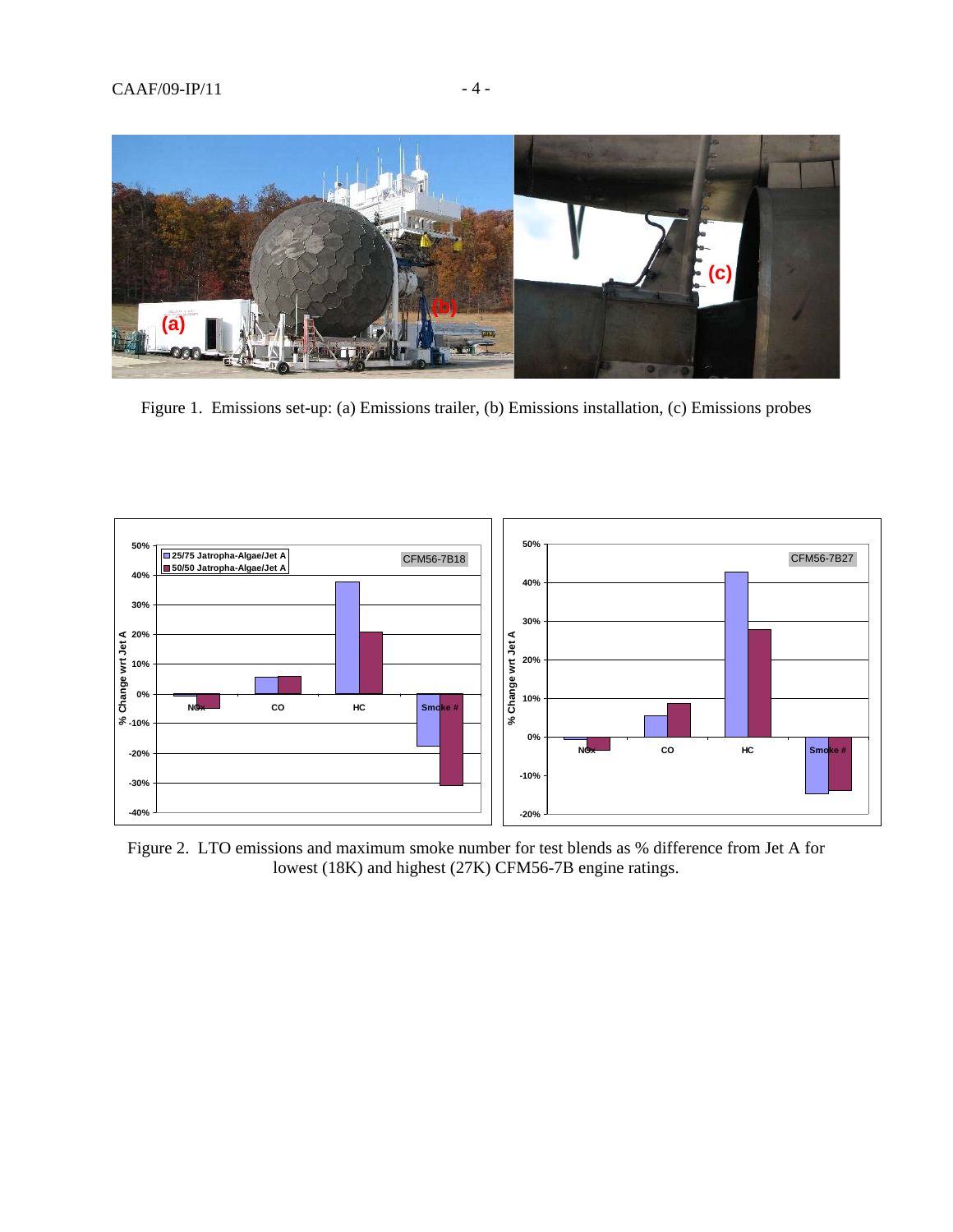

Figure 1. Emissions set-up: (a) Emissions trailer, (b) Emissions installation, (c) Emissions probes



Figure 2. LTO emissions and maximum smoke number for test blends as % difference from Jet A for lowest (18K) and highest (27K) CFM56-7B engine ratings.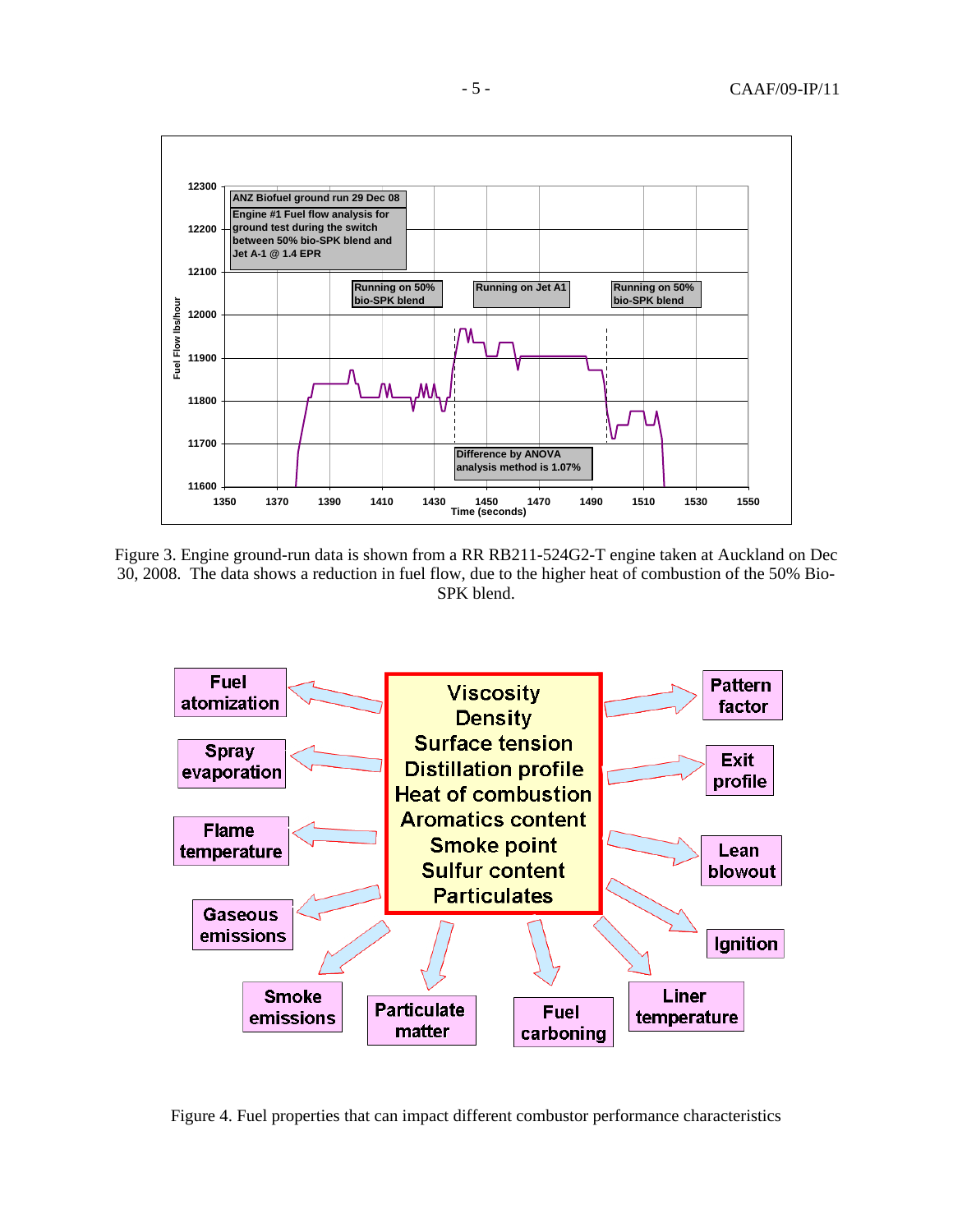

Figure 3. Engine ground-run data is shown from a RR RB211-524G2-T engine taken at Auckland on Dec 30, 2008. The data shows a reduction in fuel flow, due to the higher heat of combustion of the 50% Bio-SPK blend.



Figure 4. Fuel properties that can impact different combustor performance characteristics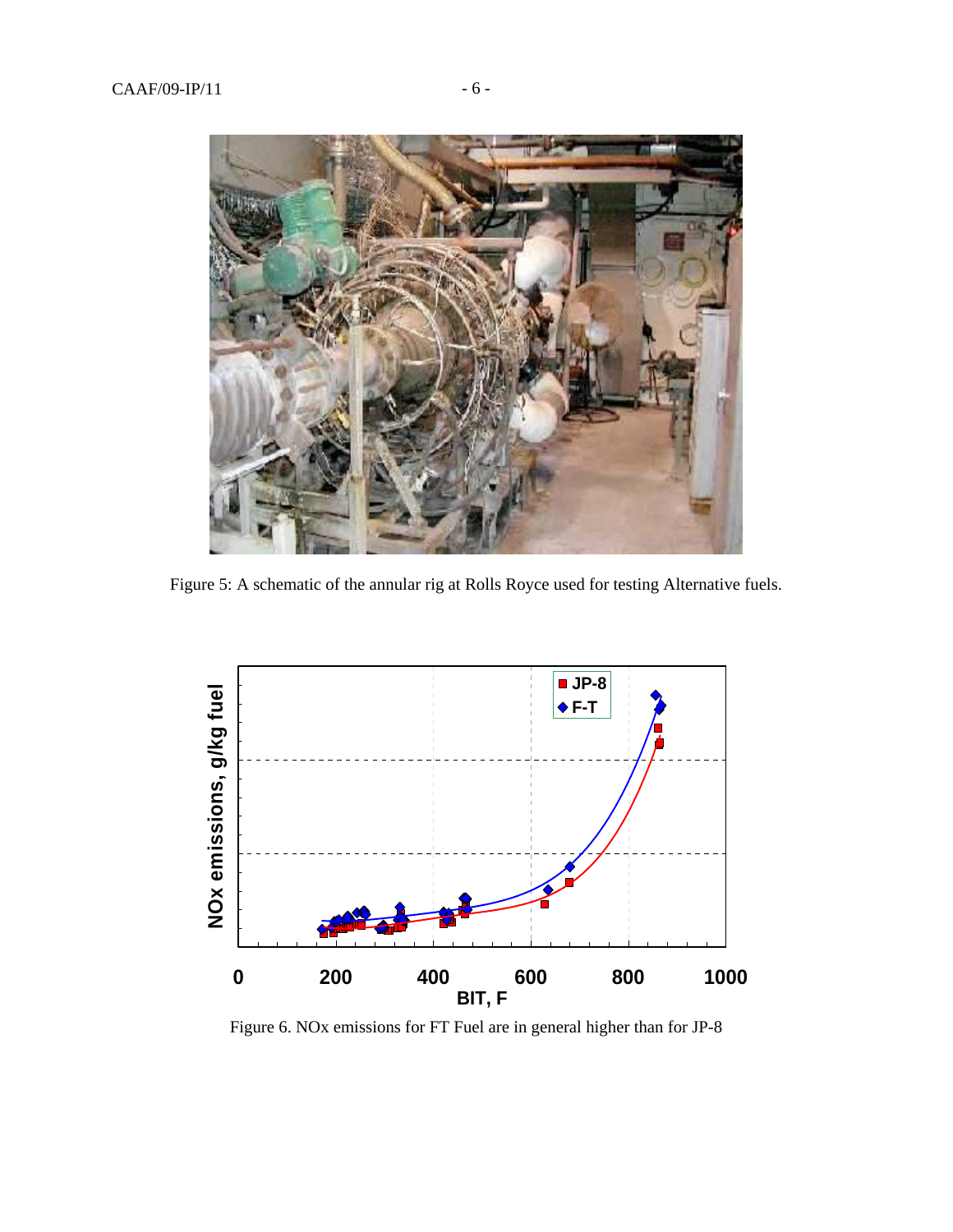

Figure 5: A schematic of the annular rig at Rolls Royce used for testing Alternative fuels.



Figure 6. NOx emissions for FT Fuel are in general higher than for JP-8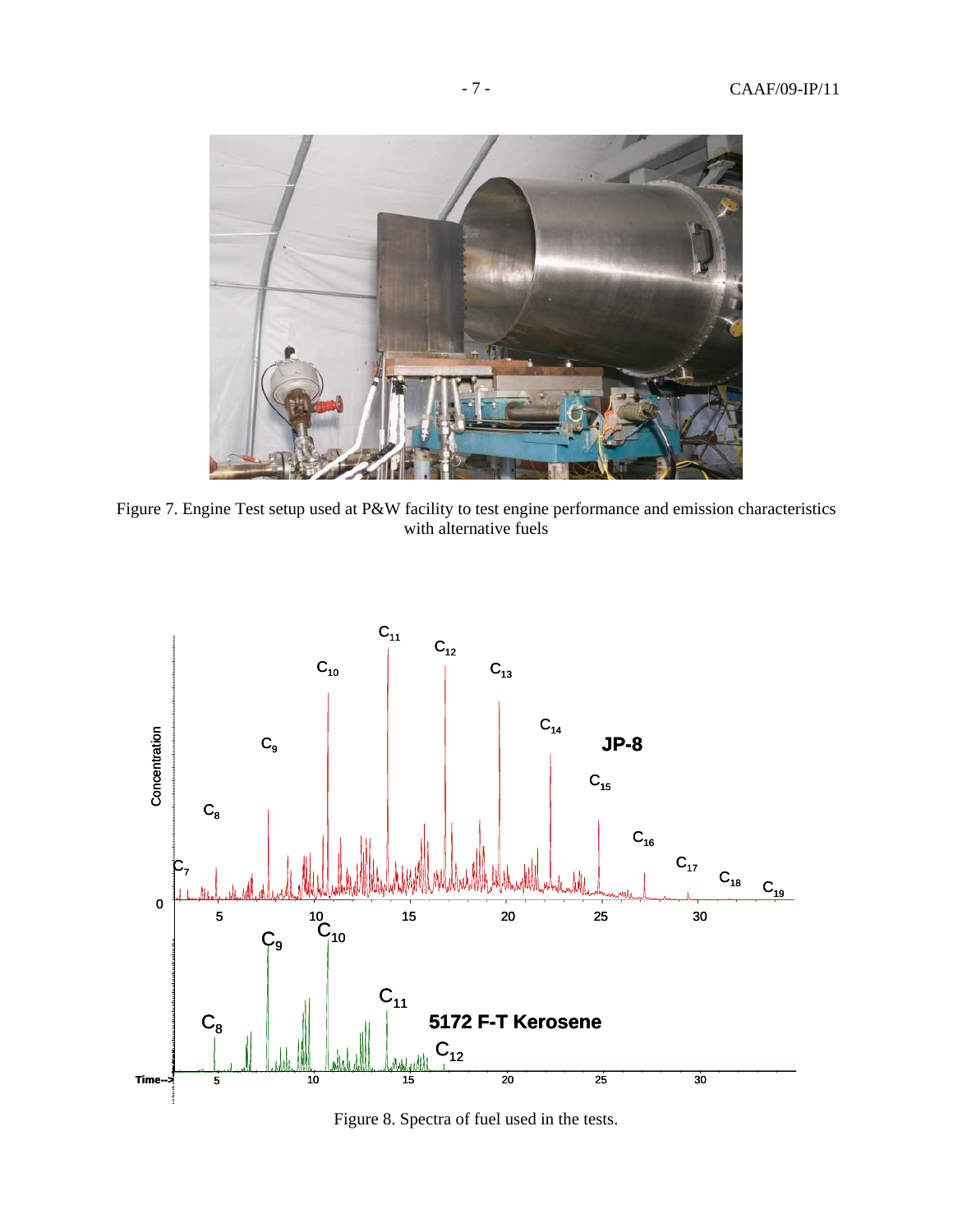

Figure 7. Engine Test setup used at P&W facility to test engine performance and emission characteristics with alternative fuels



Figure 8. Spectra of fuel used in the tests.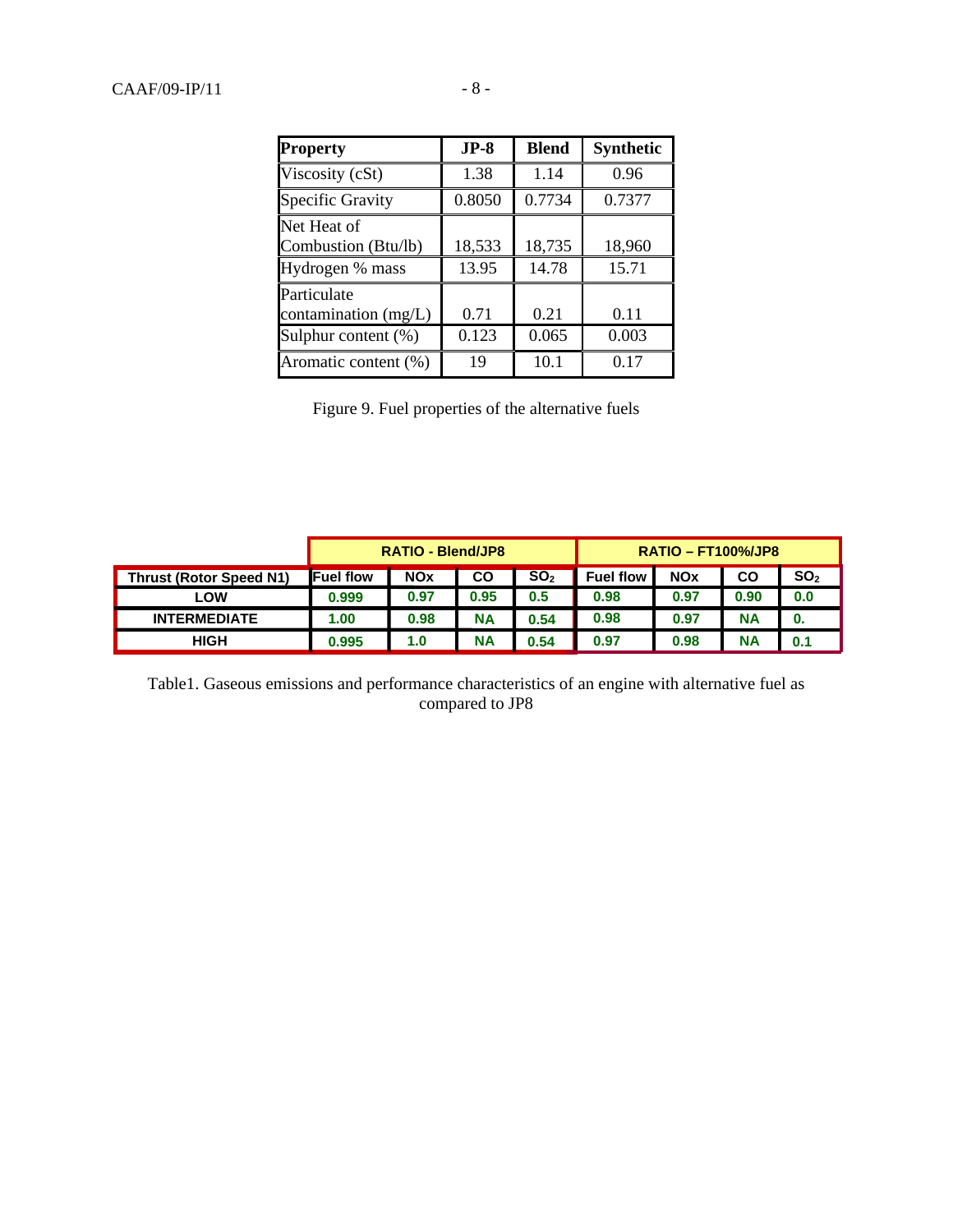| <b>Property</b>                     | $JP-8$ | <b>Blend</b> | <b>Synthetic</b> |
|-------------------------------------|--------|--------------|------------------|
| Viscosity (cSt)                     | 1.38   | 1.14         | 0.96             |
| Specific Gravity                    | 0.8050 | 0.7734       | 0.7377           |
| Net Heat of<br>Combustion (Btu/lb)  | 18,533 | 18,735       | 18,960           |
| Hydrogen % mass                     | 13.95  | 14.78        | 15.71            |
| Particulate<br>contamination (mg/L) | 0.71   | 0.21         | 0.11             |
| Sulphur content (%)                 | 0.123  | 0.065        | 0.003            |
| Aromatic content (%)                | 19     | 10.1         | 0.17             |

Figure 9. Fuel properties of the alternative fuels

|                                | <b>RATIO - Blend/JP8</b> |            |      | $RATIO - FT100\%/JP8$ |                  |            |           |                 |
|--------------------------------|--------------------------|------------|------|-----------------------|------------------|------------|-----------|-----------------|
| <b>Thrust (Rotor Speed N1)</b> | <b>IFuel flow</b>        | <b>NOx</b> | CO   | SO <sub>2</sub>       | <b>Fuel flow</b> | <b>NOx</b> | CO        | SO <sub>2</sub> |
| LOW                            | 0.999                    | 0.97       | 0.95 | 0.5                   | 0.98             | 0.97       | 0.90      | 0.0             |
| <b>INTERMEDIATE</b>            | 1.00                     | 0.98       | ΝA   | 0.54                  | 0.98             | 0.97       | <b>NA</b> | 0.              |
| HIGH                           | 0.995                    | 1.0        | ΝA   | 0.54                  | 0.97             | 0.98       | <b>NA</b> | 0.1             |

Table1. Gaseous emissions and performance characteristics of an engine with alternative fuel as compared to JP8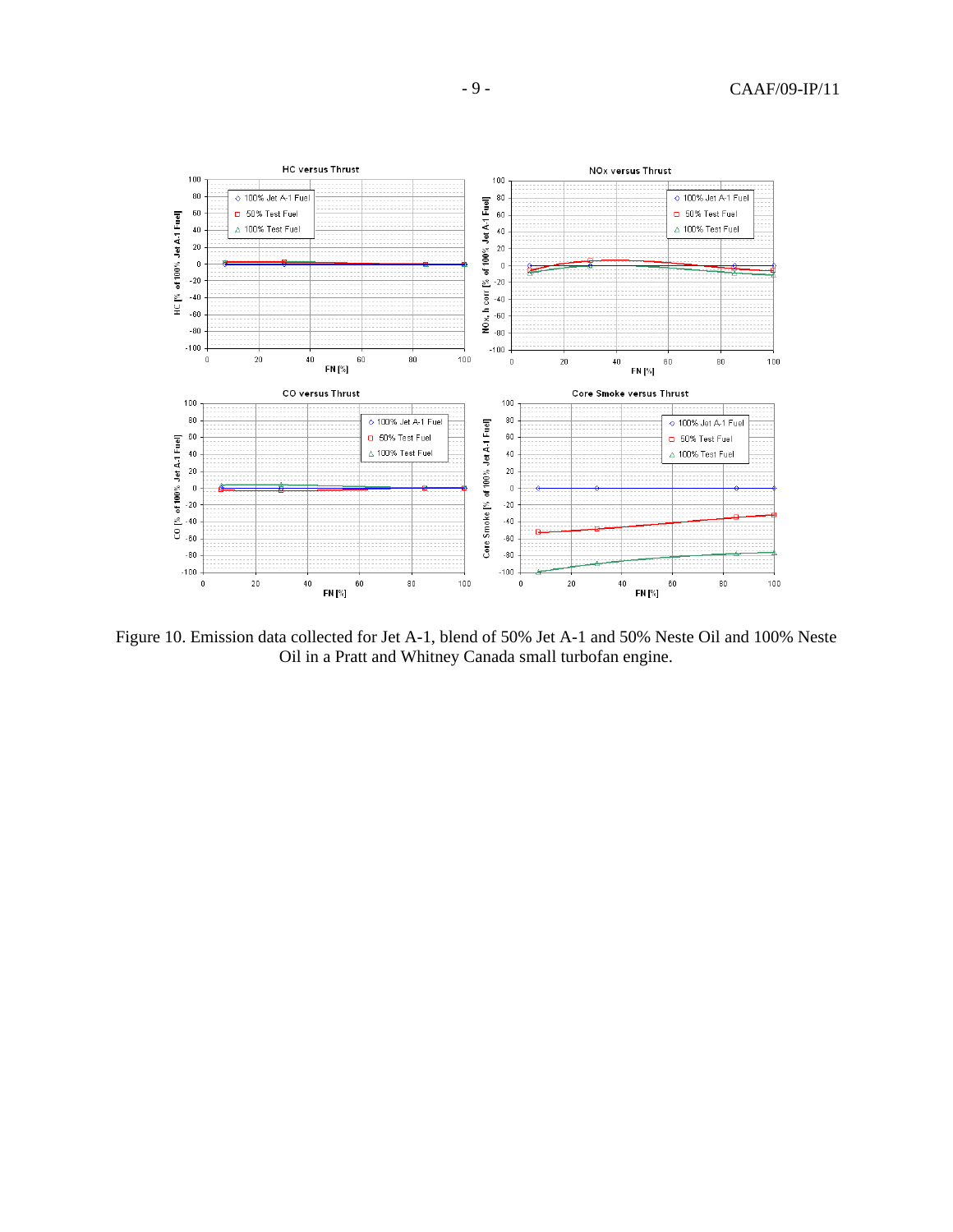

Figure 10. Emission data collected for Jet A-1, blend of 50% Jet A-1 and 50% Neste Oil and 100% Neste Oil in a Pratt and Whitney Canada small turbofan engine.